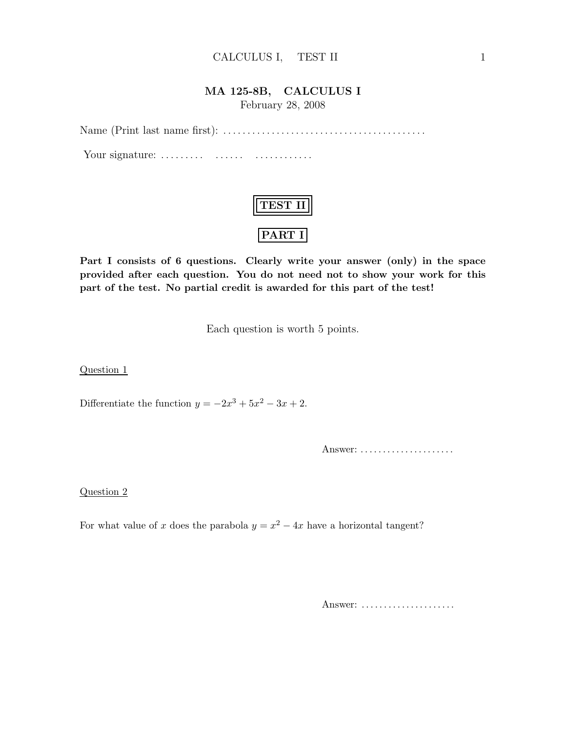### CALCULUS I, TEST II 1

## MA 125-8B, CALCULUS I

February 28, 2008

Name (Print last name first): . . .. . .. . . . . .. . .. . .. . .. . .. . .. . .. . .. . .. . . . . .

Your signature: . . .. . .. . . . . .. . . . . .. . .. . .. . .

| 72.L |
|------|
| ç' l |

Part I consists of 6 questions. Clearly write your answer (only) in the space provided after each question. You do not need not to show your work for this part of the test. No partial credit is awarded for this part of the test!

Each question is worth 5 points.

Question 1

Differentiate the function  $y = -2x^3 + 5x^2 - 3x + 2$ .

Answer: . . . . . . . . . . . . . . . . . . . . .

Question 2

For what value of x does the parabola  $y = x^2 - 4x$  have a horizontal tangent?

Answer: ......................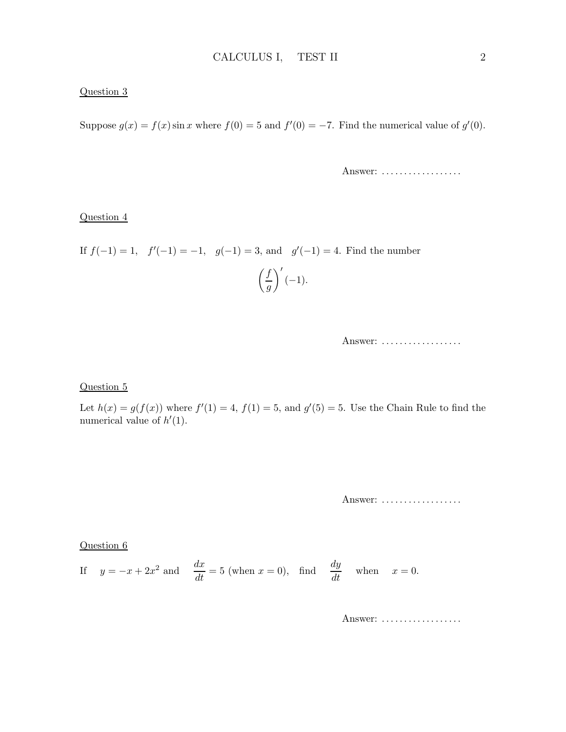### Question 3

Suppose  $g(x) = f(x) \sin x$  where  $f(0) = 5$  and  $f'(0) = -7$ . Find the numerical value of  $g'(0)$ .

Answer: ...................

#### Question 4

If 
$$
f(-1) = 1
$$
,  $f'(-1) = -1$ ,  $g(-1) = 3$ , and  $g'(-1) = 4$ . Find the number  $\left(\frac{f}{g}\right)'(-1)$ .

### Question 5

Let  $h(x) = g(f(x))$  where  $f'(1) = 4$ ,  $f(1) = 5$ , and  $g'(5) = 5$ . Use the Chain Rule to find the numerical value of  $h'(1)$ .

Answer: ..................

Question 6

If 
$$
y = -x + 2x^2
$$
 and  $\frac{dx}{dt} = 5$  (when  $x = 0$ ), find  $\frac{dy}{dt}$  when  $x = 0$ .

Answer: ...................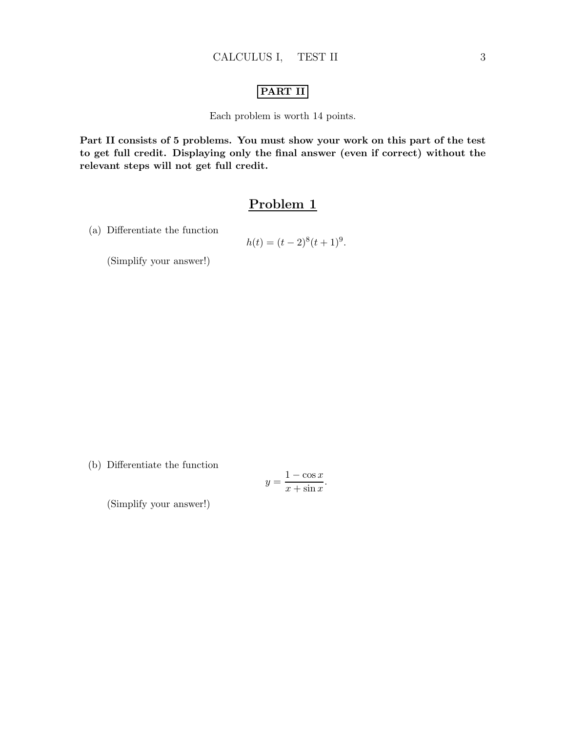### PART II

Each problem is worth 14 points.

Part II consists of 5 problems. You must show your work on this part of the test to get full credit. Displaying only the final answer (even if correct) without the relevant steps will not get full credit.

## Problem 1

(a) Differentiate the function

$$
h(t) = (t-2)^8(t+1)^9.
$$

(Simplify your answer!)

(b) Differentiate the function

$$
y = \frac{1 - \cos x}{x + \sin x}.
$$

(Simplify your answer!)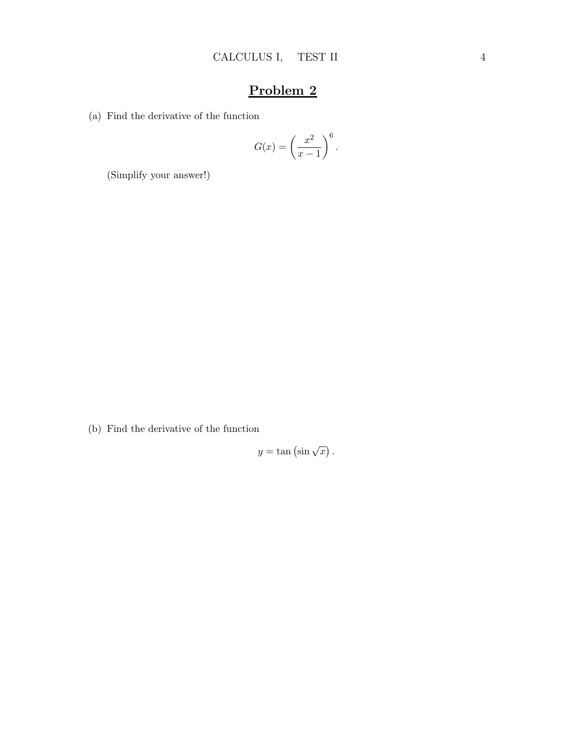(a) Find the derivative of the function

$$
G(x) = \left(\frac{x^2}{x-1}\right)^6.
$$

(Simplify your answer!)

(b) Find the derivative of the function

 $y = \tan (\sin \sqrt{x}).$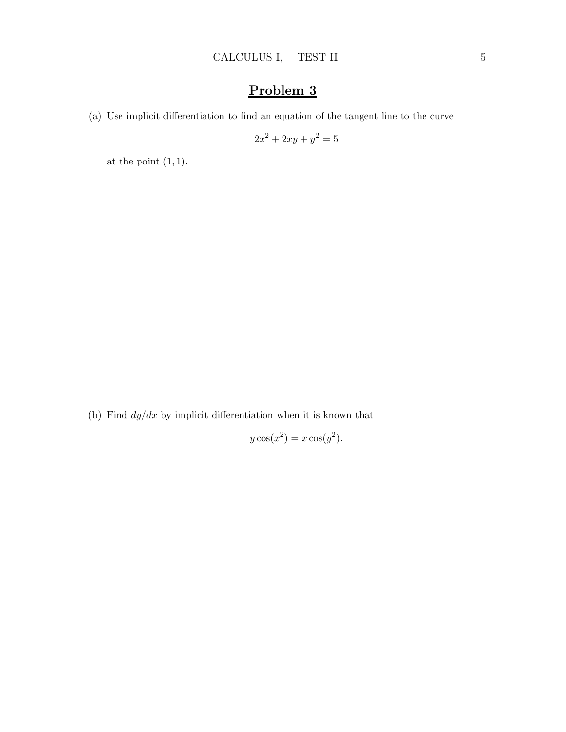(a) Use implicit differentiation to find an equation of the tangent line to the curve

$$
2x^2 + 2xy + y^2 = 5
$$

at the point  $(1, 1)$ .

(b) Find  $dy/dx$  by implicit differentiation when it is known that

$$
y\cos(x^2) = x\cos(y^2).
$$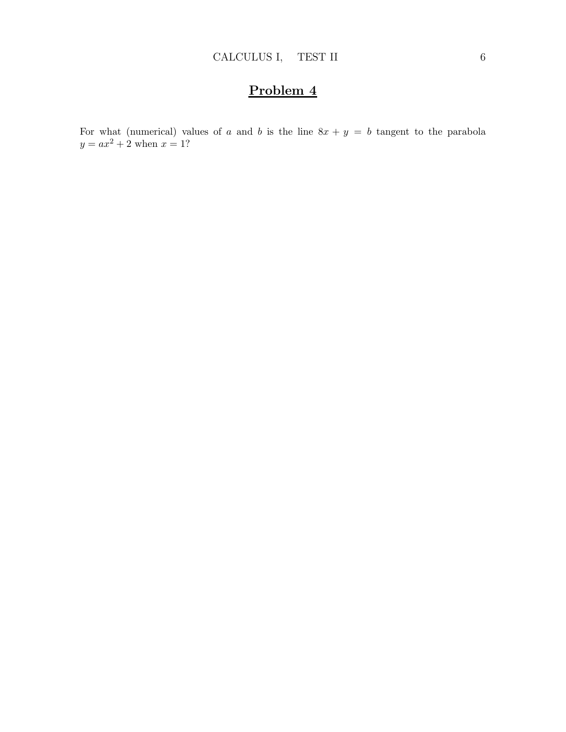For what (numerical) values of a and b is the line  $8x + y = b$  tangent to the parabola  $y = ax^2 + 2$  when  $x = 1$ ?